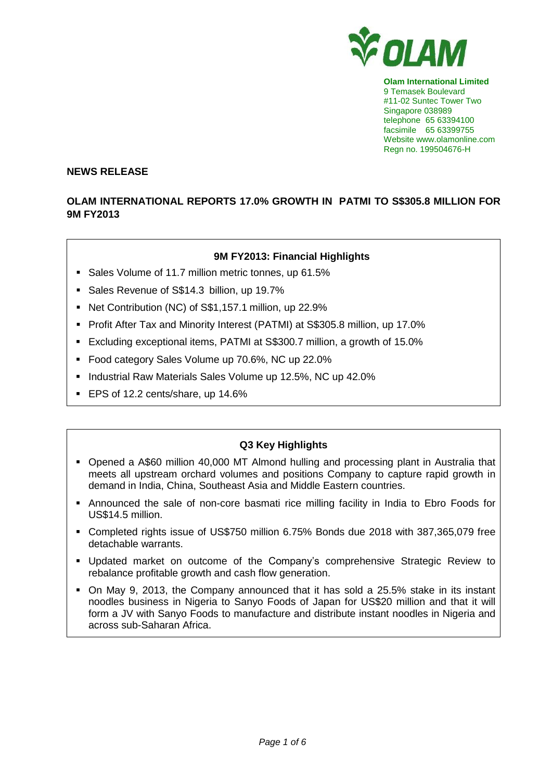

**Olam International Limited** 9 Temasek Boulevard #11-02 Suntec Tower Two Singapore 038989 telephone 65 63394100 facsimile 65 63399755 Website www.olamonline.com Regn no. 199504676-H

#### **NEWS RELEASE**

## **OLAM INTERNATIONAL REPORTS 17.0% GROWTH IN PATMI TO S\$305.8 MILLION FOR 9M FY2013**

### **9M FY2013: Financial Highlights**

- Sales Volume of 11.7 million metric tonnes, up 61.5%
- Sales Revenue of S\$14.3 billion, up 19.7%
- Net Contribution (NC) of S\$1,157.1 million, up 22.9%
- Profit After Tax and Minority Interest (PATMI) at S\$305.8 million, up 17.0%
- Excluding exceptional items, PATMI at S\$300.7 million, a growth of 15.0%
- Food category Sales Volume up 70.6%, NC up 22.0%
- Industrial Raw Materials Sales Volume up 12.5%, NC up 42.0%
- EPS of 12.2 cents/share, up 14.6%

# **Q3 Key Highlights**

- Opened a A\$60 million 40,000 MT Almond hulling and processing plant in Australia that meets all upstream orchard volumes and positions Company to capture rapid growth in demand in India, China, Southeast Asia and Middle Eastern countries.
- Announced the sale of non-core basmati rice milling facility in India to Ebro Foods for US\$14.5 million.
- Completed rights issue of US\$750 million 6.75% Bonds due 2018 with 387,365,079 free detachable warrants.
- Updated market on outcome of the Company's comprehensive Strategic Review to rebalance profitable growth and cash flow generation.
- On May 9, 2013, the Company announced that it has sold a 25.5% stake in its instant noodles business in Nigeria to Sanyo Foods of Japan for US\$20 million and that it will form a JV with Sanyo Foods to manufacture and distribute instant noodles in Nigeria and across sub-Saharan Africa.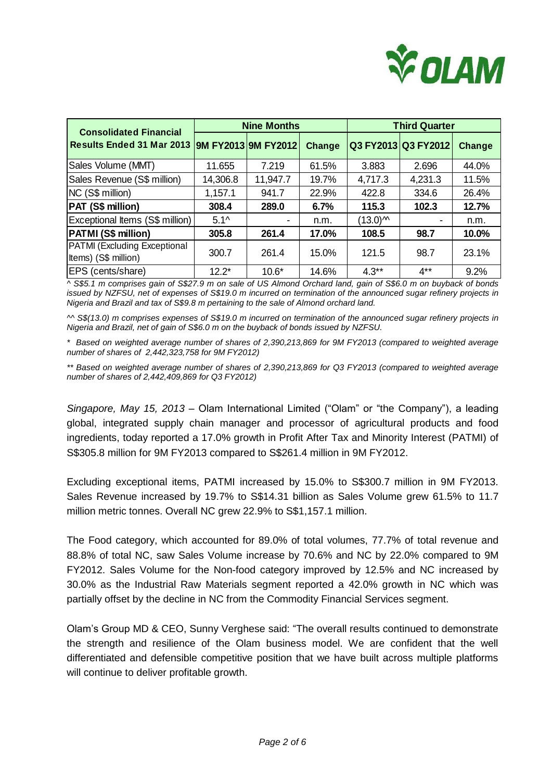

| <b>Consolidated Financial</b>                               | <b>Nine Months</b> |          |        | <b>Third Quarter</b> |                     |        |
|-------------------------------------------------------------|--------------------|----------|--------|----------------------|---------------------|--------|
| Results Ended 31 Mar 2013  9M FY2013  9M FY2012             |                    |          | Change |                      | Q3 FY2013 Q3 FY2012 | Change |
| Sales Volume (MMT)                                          | 11.655             | 7.219    | 61.5%  | 3.883                | 2.696               | 44.0%  |
| Sales Revenue (S\$ million)                                 | 14,306.8           | 11,947.7 | 19.7%  | 4,717.3              | 4,231.3             | 11.5%  |
| NC (S\$ million)                                            | 1,157.1            | 941.7    | 22.9%  | 422.8                | 334.6               | 26.4%  |
| PAT (S\$ million)                                           | 308.4              | 289.0    | 6.7%   | 115.3                | 102.3               | 12.7%  |
| Exceptional Items (S\$ million)                             | $5.1^{\circ}$      |          | n.m.   | $(13.0)^{M}$         |                     | n.m.   |
| PATMI (S\$ million)                                         | 305.8              | 261.4    | 17.0%  | 108.5                | 98.7                | 10.0%  |
| <b>PATMI</b> (Excluding Exceptional<br>Items) (S\$ million) | 300.7              | 261.4    | 15.0%  | 121.5                | 98.7                | 23.1%  |
| EPS (cents/share)                                           | $12.2*$            | $10.6*$  | 14.6%  | $4.3**$              | $4***$              | 9.2%   |

*^ S\$5.1 m comprises gain of S\$27.9 m on sale of US Almond Orchard land, gain of S\$6.0 m on buyback of bonds issued by NZFSU, net of expenses of S\$19.0 m incurred on termination of the announced sugar refinery projects in Nigeria and Brazil and tax of S\$9.8 m pertaining to the sale of Almond orchard land.*

*^^ S\$(13.0) m comprises expenses of S\$19.0 m incurred on termination of the announced sugar refinery projects in Nigeria and Brazil, net of gain of S\$6.0 m on the buyback of bonds issued by NZFSU.*

*\* Based on weighted average number of shares of 2,390,213,869 for 9M FY2013 (compared to weighted average number of shares of 2,442,323,758 for 9M FY2012)*

*\*\* Based on weighted average number of shares of 2,390,213,869 for Q3 FY2013 (compared to weighted average number of shares of 2,442,409,869 for Q3 FY2012)*

*Singapore, May 15, 2013 –* Olam International Limited ("Olam" or "the Company"), a leading global, integrated supply chain manager and processor of agricultural products and food ingredients, today reported a 17.0% growth in Profit After Tax and Minority Interest (PATMI) of S\$305.8 million for 9M FY2013 compared to S\$261.4 million in 9M FY2012.

Excluding exceptional items, PATMI increased by 15.0% to S\$300.7 million in 9M FY2013. Sales Revenue increased by 19.7% to S\$14.31 billion as Sales Volume grew 61.5% to 11.7 million metric tonnes. Overall NC grew 22.9% to S\$1,157.1 million.

The Food category, which accounted for 89.0% of total volumes, 77.7% of total revenue and 88.8% of total NC, saw Sales Volume increase by 70.6% and NC by 22.0% compared to 9M FY2012. Sales Volume for the Non-food category improved by 12.5% and NC increased by 30.0% as the Industrial Raw Materials segment reported a 42.0% growth in NC which was partially offset by the decline in NC from the Commodity Financial Services segment.

Olam's Group MD & CEO, Sunny Verghese said: "The overall results continued to demonstrate the strength and resilience of the Olam business model. We are confident that the well differentiated and defensible competitive position that we have built across multiple platforms will continue to deliver profitable growth.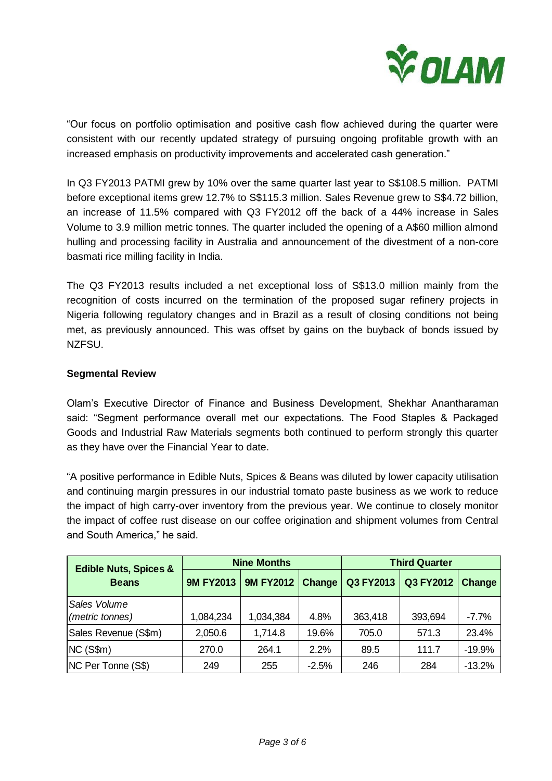

"Our focus on portfolio optimisation and positive cash flow achieved during the quarter were consistent with our recently updated strategy of pursuing ongoing profitable growth with an increased emphasis on productivity improvements and accelerated cash generation."

In Q3 FY2013 PATMI grew by 10% over the same quarter last year to S\$108.5 million. PATMI before exceptional items grew 12.7% to S\$115.3 million. Sales Revenue grew to S\$4.72 billion, an increase of 11.5% compared with Q3 FY2012 off the back of a 44% increase in Sales Volume to 3.9 million metric tonnes. The quarter included the opening of a A\$60 million almond hulling and processing facility in Australia and announcement of the divestment of a non-core basmati rice milling facility in India.

The Q3 FY2013 results included a net exceptional loss of S\$13.0 million mainly from the recognition of costs incurred on the termination of the proposed sugar refinery projects in Nigeria following regulatory changes and in Brazil as a result of closing conditions not being met, as previously announced. This was offset by gains on the buyback of bonds issued by NZFSU.

# **Segmental Review**

Olam's Executive Director of Finance and Business Development, Shekhar Anantharaman said: "Segment performance overall met our expectations. The Food Staples & Packaged Goods and Industrial Raw Materials segments both continued to perform strongly this quarter as they have over the Financial Year to date.

"A positive performance in Edible Nuts, Spices & Beans was diluted by lower capacity utilisation and continuing margin pressures in our industrial tomato paste business as we work to reduce the impact of high carry-over inventory from the previous year. We continue to closely monitor the impact of coffee rust disease on our coffee origination and shipment volumes from Central and South America," he said.

| <b>Edible Nuts, Spices &amp;</b><br><b>Beans</b> | <b>Nine Months</b> |                  |         | <b>Third Quarter</b> |           |          |
|--------------------------------------------------|--------------------|------------------|---------|----------------------|-----------|----------|
|                                                  | <b>9M FY2013</b>   | <b>9M FY2012</b> | Change  | Q3 FY2013            | Q3 FY2012 | Change   |
| Sales Volume                                     |                    |                  |         |                      |           |          |
| (metric tonnes)                                  | 1,084,234          | 1,034,384        | 4.8%    | 363,418              | 393,694   | $-7.7\%$ |
| Sales Revenue (S\$m)                             | 2,050.6            | 1,714.8          | 19.6%   | 705.0                | 571.3     | 23.4%    |
| NC(S\$m)                                         | 270.0              | 264.1            | 2.2%    | 89.5                 | 111.7     | $-19.9%$ |
| NC Per Tonne (S\$)                               | 249                | 255              | $-2.5%$ | 246                  | 284       | $-13.2%$ |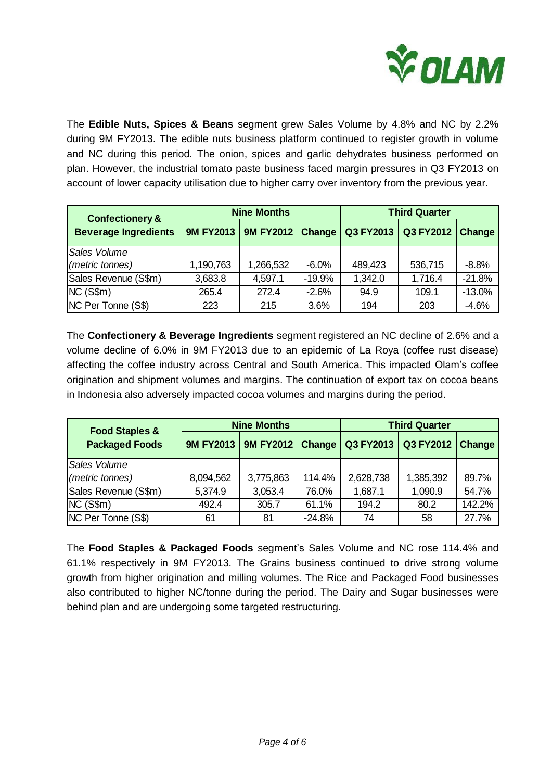

The **Edible Nuts, Spices & Beans** segment grew Sales Volume by 4.8% and NC by 2.2% during 9M FY2013. The edible nuts business platform continued to register growth in volume and NC during this period. The onion, spices and garlic dehydrates business performed on plan. However, the industrial tomato paste business faced margin pressures in Q3 FY2013 on account of lower capacity utilisation due to higher carry over inventory from the previous year.

| <b>Confectionery &amp;</b><br><b>Beverage Ingredients</b> | <b>Nine Months</b> |           |          | <b>Third Quarter</b> |           |          |
|-----------------------------------------------------------|--------------------|-----------|----------|----------------------|-----------|----------|
|                                                           | <b>9M FY2013</b>   | 9M FY2012 | Change   | Q3 FY2013            | Q3 FY2012 | Change   |
| Sales Volume                                              |                    |           |          |                      |           |          |
| (metric tonnes)                                           | 1,190,763          | 1,266,532 | $-6.0%$  | 489,423              | 536,715   | $-8.8%$  |
| Sales Revenue (S\$m)                                      | 3,683.8            | 4,597.1   | $-19.9%$ | 1,342.0              | 1,716.4   | $-21.8%$ |
| NC(S\$m)                                                  | 265.4              | 272.4     | $-2.6%$  | 94.9                 | 109.1     | $-13.0%$ |
| NC Per Tonne (S\$)                                        | 223                | 215       | 3.6%     | 194                  | 203       | $-4.6%$  |

The **Confectionery & Beverage Ingredients** segment registered an NC decline of 2.6% and a volume decline of 6.0% in 9M FY2013 due to an epidemic of La Roya (coffee rust disease) affecting the coffee industry across Central and South America. This impacted Olam's coffee origination and shipment volumes and margins. The continuation of export tax on cocoa beans in Indonesia also adversely impacted cocoa volumes and margins during the period.

| <b>Food Staples &amp;</b><br><b>Packaged Foods</b> | <b>Nine Months</b> |           |          | <b>Third Quarter</b> |           |        |
|----------------------------------------------------|--------------------|-----------|----------|----------------------|-----------|--------|
|                                                    | <b>9M FY2013</b>   | 9M FY2012 | Change   | Q3 FY2013            | Q3 FY2012 | Change |
| Sales Volume                                       |                    |           |          |                      |           |        |
| (metric tonnes)                                    | 8,094,562          | 3,775,863 | 114.4%   | 2,628,738            | 1,385,392 | 89.7%  |
| Sales Revenue (S\$m)                               | 5,374.9            | 3,053.4   | 76.0%    | 1,687.1              | 1,090.9   | 54.7%  |
| NC(S\$m)                                           | 492.4              | 305.7     | 61.1%    | 194.2                | 80.2      | 142.2% |
| NC Per Tonne (S\$)                                 | 61                 | 81        | $-24.8%$ | 74                   | 58        | 27.7%  |

The **Food Staples & Packaged Foods** segment's Sales Volume and NC rose 114.4% and 61.1% respectively in 9M FY2013. The Grains business continued to drive strong volume growth from higher origination and milling volumes. The Rice and Packaged Food businesses also contributed to higher NC/tonne during the period. The Dairy and Sugar businesses were behind plan and are undergoing some targeted restructuring.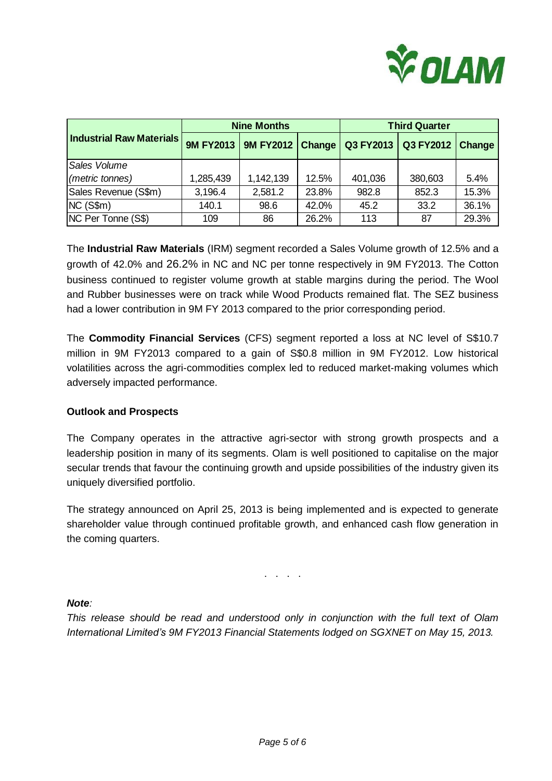

| <b>Industrial Raw Materials</b> | <b>Nine Months</b> |                  |       | <b>Third Quarter</b> |           |        |
|---------------------------------|--------------------|------------------|-------|----------------------|-----------|--------|
|                                 | <b>9M FY2013</b>   | 9M FY2012 Change |       | Q3 FY2013            | Q3 FY2012 | Change |
| Sales Volume                    |                    |                  |       |                      |           |        |
| (metric tonnes)                 | 1,285,439          | 1,142,139        | 12.5% | 401,036              | 380,603   | 5.4%   |
| Sales Revenue (S\$m)            | 3,196.4            | 2,581.2          | 23.8% | 982.8                | 852.3     | 15.3%  |
| NC(S\$m)                        | 140.1              | 98.6             | 42.0% | 45.2                 | 33.2      | 36.1%  |
| NC Per Tonne (S\$)              | 109                | 86               | 26.2% | 113                  | 87        | 29.3%  |

The **Industrial Raw Materials** (IRM) segment recorded a Sales Volume growth of 12.5% and a growth of 42.0% and 26.2% in NC and NC per tonne respectively in 9M FY2013. The Cotton business continued to register volume growth at stable margins during the period. The Wool and Rubber businesses were on track while Wood Products remained flat. The SEZ business had a lower contribution in 9M FY 2013 compared to the prior corresponding period.

The **Commodity Financial Services** (CFS) segment reported a loss at NC level of S\$10.7 million in 9M FY2013 compared to a gain of S\$0.8 million in 9M FY2012. Low historical volatilities across the agri-commodities complex led to reduced market-making volumes which adversely impacted performance.

### **Outlook and Prospects**

The Company operates in the attractive agri-sector with strong growth prospects and a leadership position in many of its segments. Olam is well positioned to capitalise on the major secular trends that favour the continuing growth and upside possibilities of the industry given its uniquely diversified portfolio.

The strategy announced on April 25, 2013 is being implemented and is expected to generate shareholder value through continued profitable growth, and enhanced cash flow generation in the coming quarters.

. . . .

### *Note:*

*This release should be read and understood only in conjunction with the full text of Olam International Limited's 9M FY2013 Financial Statements lodged on SGXNET on May 15, 2013.*